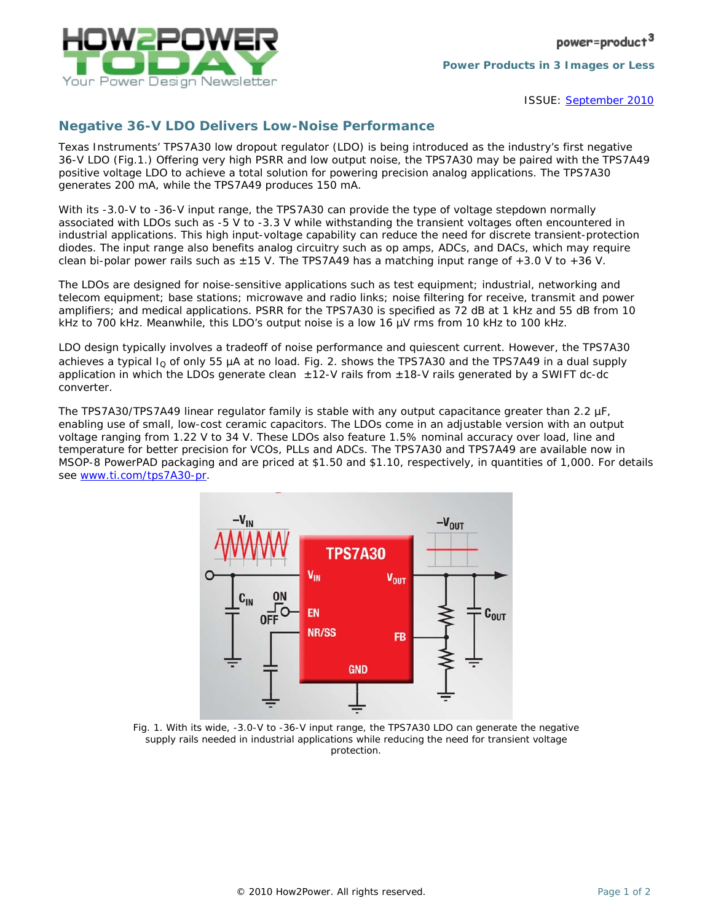

ISSUE: [September 2010](http://www.how2power.com/newsletters/1009/index.html)

## *Negative 36-V LDO Delivers Low-Noise Performance*

Texas Instruments' TPS7A30 low dropout regulator (LDO) is being introduced as the industry's first negative 36-V LDO (Fig.1.) Offering very high PSRR and low output noise, the TPS7A30 may be paired with the TPS7A49 positive voltage LDO to achieve a total solution for powering precision analog applications. The TPS7A30 generates 200 mA, while the TPS7A49 produces 150 mA.

With its -3.0-V to -36-V input range, the TPS7A30 can provide the type of voltage stepdown normally associated with LDOs such as -5 V to -3.3 V while withstanding the transient voltages often encountered in industrial applications. This high input-voltage capability can reduce the need for discrete transient-protection diodes. The input range also benefits analog circuitry such as op amps, ADCs, and DACs, which may require clean bi-polar power rails such as  $\pm 15$  V. The TPS7A49 has a matching input range of  $+3.0$  V to  $+36$  V.

The LDOs are designed for noise-sensitive applications such as test equipment; industrial, networking and telecom equipment; base stations; microwave and radio links; noise filtering for receive, transmit and power amplifiers; and medical applications. PSRR for the TPS7A30 is specified as 72 dB at 1 kHz and 55 dB from 10 kHz to 700 kHz. Meanwhile, this LDO's output noise is a low 16 µV rms from 10 kHz to 100 kHz.

LDO design typically involves a tradeoff of noise performance and quiescent current. However, the TPS7A30 achieves a typical  $I<sub>Q</sub>$  of only 55 µA at no load. Fig. 2. shows the TPS7A30 and the TPS7A49 in a dual supply application in which the LDOs generate clean  $\pm$ 12-V rails from  $\pm$ 18-V rails generated by a SWIFT dc-dc converter.

The TPS7A30/TPS7A49 linear regulator family is stable with any output capacitance greater than 2.2 uF. enabling use of small, low-cost ceramic capacitors. The LDOs come in an adjustable version with an output voltage ranging from 1.22 V to 34 V. These LDOs also feature 1.5% nominal accuracy over load, line and temperature for better precision for VCOs, PLLs and ADCs. The TPS7A30 and TPS7A49 are available now in MSOP-8 PowerPAD packaging and are priced at \$1.50 and \$1.10, respectively, in quantities of 1,000. For details see [www.ti.com/tps7A30-pr.](http://www.ti.com/tps7A30-pr)



*Fig. 1. With its wide, -3.0-V to -36-V input range, the TPS7A30 LDO can generate the negative supply rails needed in industrial applications while reducing the need for transient voltage protection.*